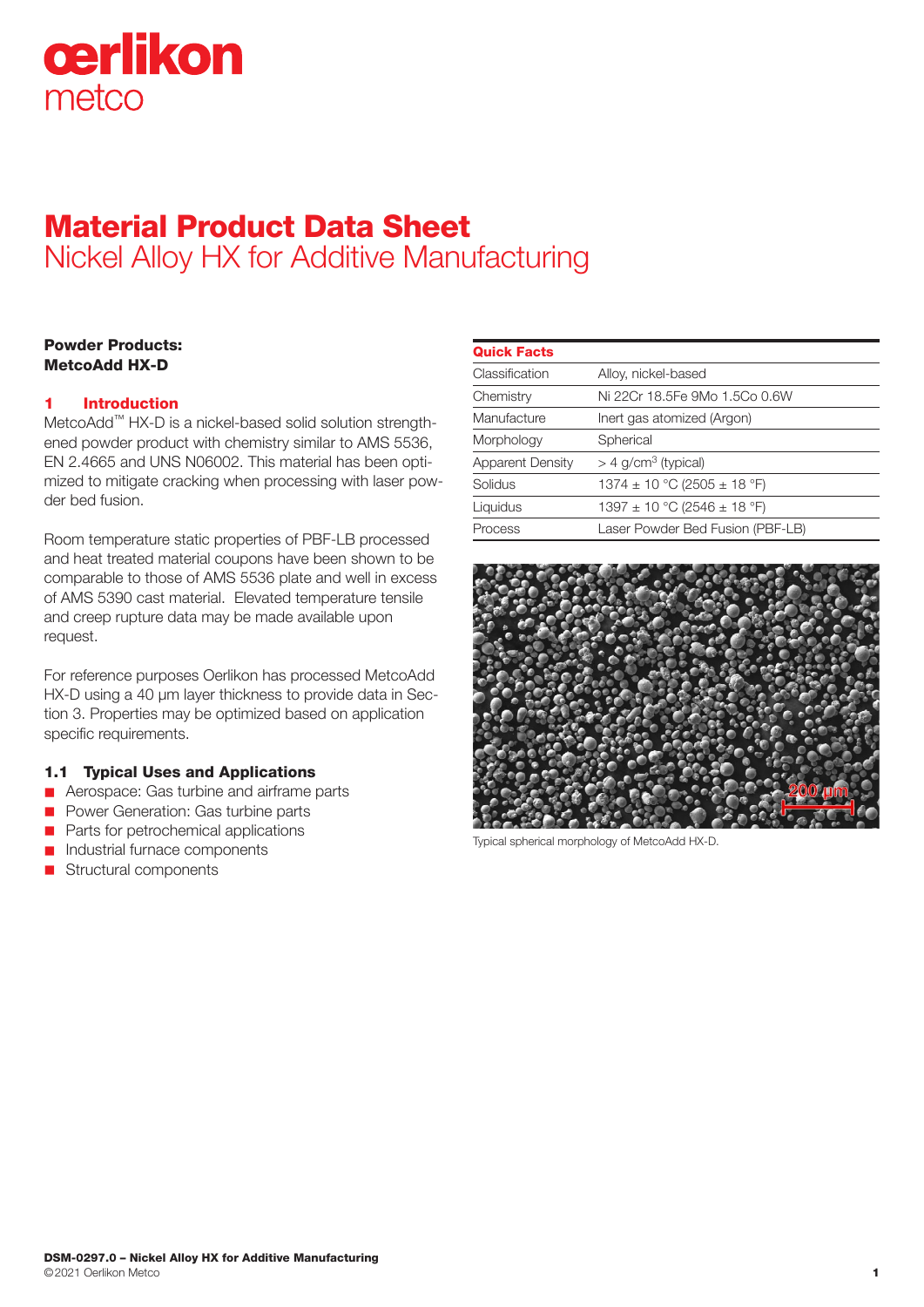

# Material Product Data Sheet Nickel Alloy HX for Additive Manufacturing

# Powder Products: MetcoAdd HX-D

# 1 Introduction

MetcoAdd™ HX-D is a nickel-based solid solution strengthened powder product with chemistry similar to AMS 5536, EN 2.4665 and UNS N06002. This material has been optimized to mitigate cracking when processing with laser powder bed fusion.

Room temperature static properties of PBF-LB processed and heat treated material coupons have been shown to be comparable to those of AMS 5536 plate and well in excess of AMS 5390 cast material. Elevated temperature tensile and creep rupture data may be made available upon request.

For reference purposes Oerlikon has processed MetcoAdd HX-D using a 40 μm layer thickness to provide data in Section 3. Properties may be optimized based on application specific requirements.

# 1.1 Typical Uses and Applications

- **n** Aerospace: Gas turbine and airframe parts
- **n** Power Generation: Gas turbine parts
- n Parts for petrochemical applications
- n Industrial furnace components
- Structural components

| <b>Quick Facts</b>      |                                   |
|-------------------------|-----------------------------------|
| Classification          | Alloy, nickel-based               |
| Chemistry               | Ni 22Cr 18.5Fe 9Mo 1.5Co 0.6W     |
| Manufacture             | Inert gas atomized (Argon)        |
| Morphology              | Spherical                         |
| <b>Apparent Density</b> | $>$ 4 g/cm <sup>3</sup> (typical) |
| Solidus                 | 1374 ± 10 °C (2505 ± 18 °F)       |
| Liquidus                | 1397 ± 10 °C (2546 ± 18 °F)       |
| Process                 | Laser Powder Bed Fusion (PBF-LB)  |
|                         |                                   |



Typical spherical morphology of MetcoAdd HX-D.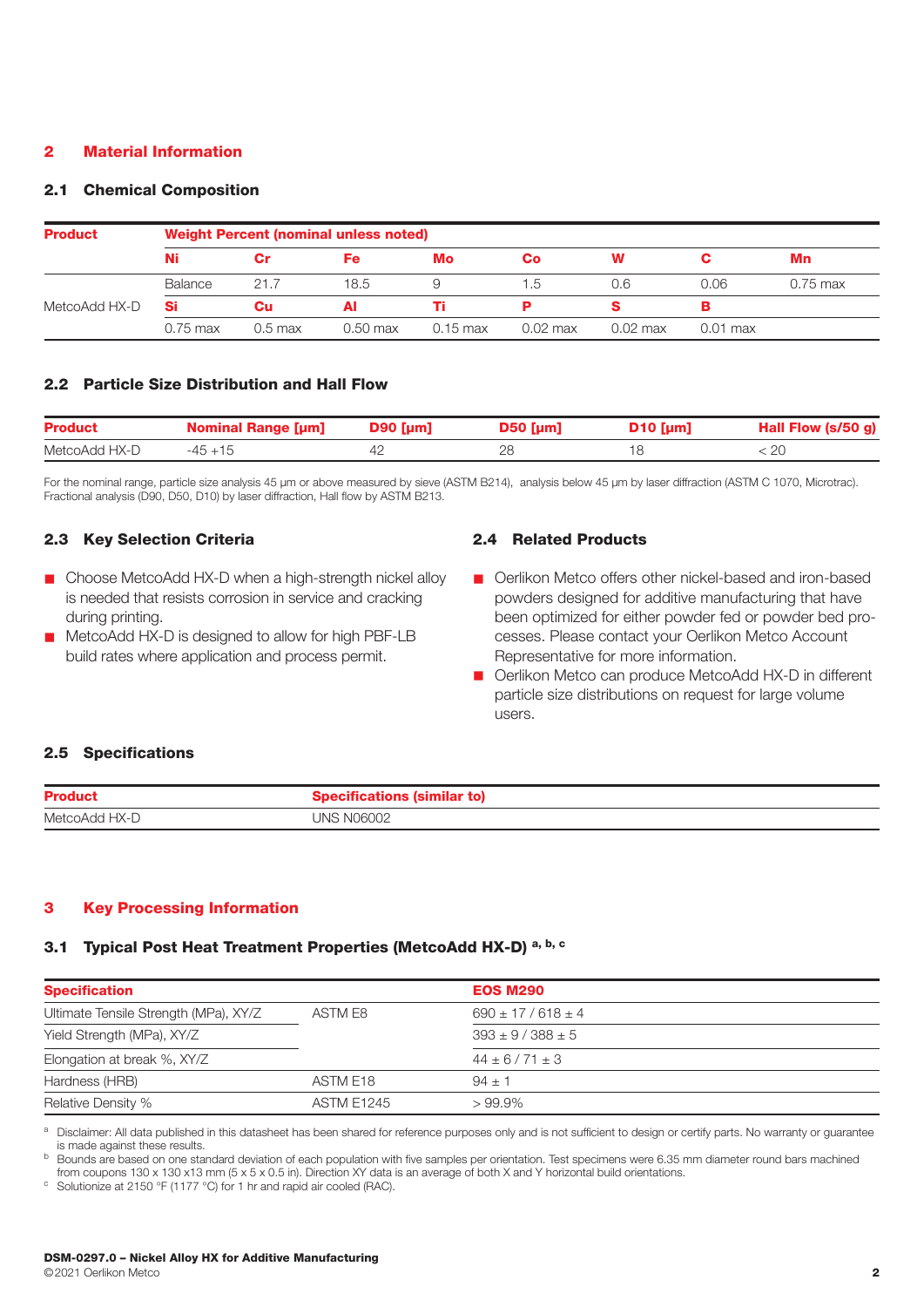# 2 Material Information

#### 2.1 Chemical Composition

| <b>Product</b> | <b>Weight Percent (nominal unless noted)</b> |         |          |                    |           |            |          |            |
|----------------|----------------------------------------------|---------|----------|--------------------|-----------|------------|----------|------------|
|                | Ni                                           | Cr      | Fe:      | Mo                 | <b>Co</b> | w          |          | Mn         |
|                | Balance                                      | 21.7    | 18.5     | 9                  | 1.5       | 0.6        | 0.06     | $0.75$ max |
| MetcoAdd HX-D  | Si                                           | Cu      | Al       |                    |           |            |          |            |
|                | 0.75 max                                     | 0.5 max | 0.50 max | $0.15 \text{ max}$ | 0.02 max  | $0.02$ max | 0.01 max |            |

# 2.2 Particle Size Distribution and Hall Flow

| <b>Product</b> | <b>Nominal Range [µm]</b> | $D90$ [µm] | $D50$ [µm] | $D10$ [µm] | Hall Flow (s/50 g) |
|----------------|---------------------------|------------|------------|------------|--------------------|
| MetcoAdd HX-D  | $-45+15$                  |            |            |            |                    |

For the nominal range, particle size analysis 45 µm or above measured by sieve (ASTM B214), analysis below 45 µm by laser diffraction (ASTM C 1070, Microtrac). Fractional analysis (D90, D50, D10) by laser diffraction, Hall flow by ASTM B213.

# 2.3 Key Selection Criteria

- $\blacksquare$  Choose MetcoAdd HX-D when a high-strength nickel alloy is needed that resists corrosion in service and cracking during printing.
- MetcoAdd HX-D is designed to allow for high PBF-LB build rates where application and process permit.

# 2.4 Related Products

- Oerlikon Metco offers other nickel-based and iron-based powders designed for additive manufacturing that have been optimized for either powder fed or powder bed processes. Please contact your Oerlikon Metco Account Representative for more information.
- Oerlikon Metco can produce MetcoAdd HX-D in different particle size distributions on request for large volume users.

#### 2.5 Specifications

| <b>Product</b> | े शाons <sup>,</sup> |
|----------------|----------------------|
| MetcoAdd HX-D  | UNS N06002           |

# 3 Key Processing Information

#### 3.1 Typical Post Heat Treatment Properties (MetcoAdd HX-D)<sup>a, b, c</sup>

| <b>Specification</b>                  |                   | <b>EOS M290</b>         |  |
|---------------------------------------|-------------------|-------------------------|--|
| Ultimate Tensile Strength (MPa), XY/Z | ASTM F8           | $690 \pm 17/618 \pm 4$  |  |
| Yield Strength (MPa), XY/Z            |                   | $393 \pm 9 / 388 \pm 5$ |  |
| Elongation at break %, XY/Z           |                   | $44 \pm 6/71 \pm 3$     |  |
| Hardness (HRB)                        | ASTM E18          | $94 + 1$                |  |
| Relative Density %                    | <b>ASTM E1245</b> | $>99.9\%$               |  |

a Disclaimer: All data published in this datasheet has been shared for reference purposes only and is not sufficient to design or certify parts. No warranty or quarantee is made against these results.

<sup>b</sup> Bounds are based on one standard deviation of each population with five samples per orientation. Test specimens were 6.35 mm diameter round bars machined from coupons 130 x 130 x13 mm (5 x 5 x 0.5 in). Direction XY data is an average of both X and Y horizontal build orientations.<br><sup>c</sup> Solutionize at 2150 °F (1177 °C) for 1 hr and rapid air cooled (RAC).